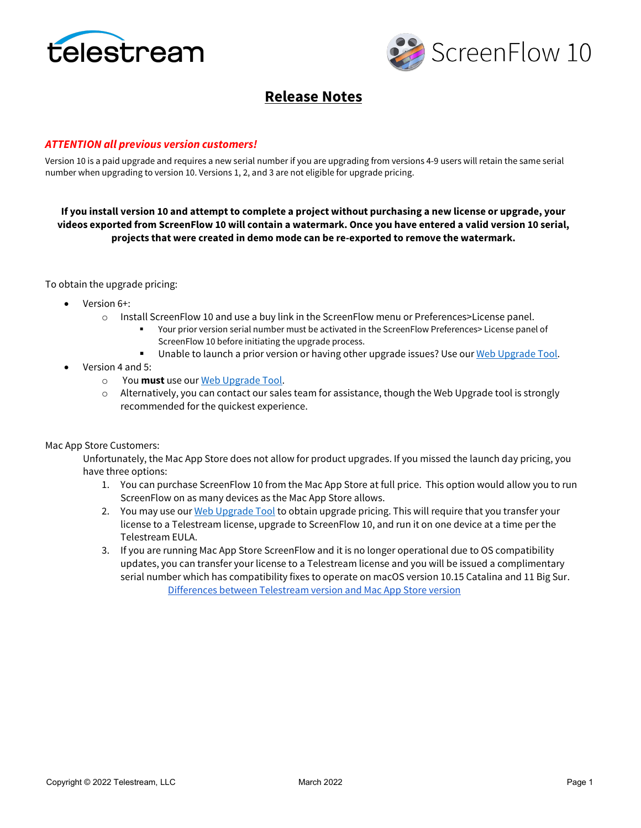



# **Release Notes**

### *ATTENTION all previous version customers!*

Version 10 is a paid upgrade and requires a new serial number if you are upgrading from versions 4-9 users will retain the same serial number when upgrading to version 10. Versions 1, 2, and 3 are not eligible for upgrade pricing.

**If you install version 10 and attempt to complete a project without purchasing a new license or upgrade, your videos exported from ScreenFlow 10 will contain a watermark. Once you have entered a valid version 10 serial, projects that were created in demo mode can be re-exported to remove the watermark.**

To obtain the upgrade pricing:

- Version 6+:
	- o Install ScreenFlow 10 and use a buy link in the ScreenFlow menu or Preferences>License panel.
		- Your prior version serial number must be activated in the ScreenFlow Preferences> License panel of ScreenFlow 10 before initiating the upgrade process.
		- **Unable to launch a prior version or having other upgrade issues? Use ou[r Web Upgrade Tool.](http://www.telestream.net/telestream-support/screen-flow/upgrade-tool.htm)**
- Version 4 and 5:
	- o You **must** use ou[r Web Upgrade Tool.](http://www.telestream.net/telestream-support/screen-flow/upgrade-tool.htm)
	- $\circ$  Alternatively, you can contact our sales team for assistance, though the Web Upgrade tool is strongly recommended for the quickest experience.

Mac App Store Customers:

Unfortunately, the Mac App Store does not allow for product upgrades. If you missed the launch day pricing, you have three options:

- 1. You can purchase ScreenFlow 10 from the Mac App Store at full price. This option would allow you to run ScreenFlow on as many devices as the Mac App Store allows.
- 2. You may use our [Web Upgrade Tool](http://www.telestream.net/telestream-support/screen-flow/upgrade-tool.htm) to obtain upgrade pricing. This will require that you transfer your license to a Telestream license, upgrade to ScreenFlow 10, and run it on one device at a time per the Telestream EULA.
- 3. If you are running Mac App Store ScreenFlow and it is no longer operational due to OS compatibility updates, you can transfer your license to a Telestream license and you will be issued a complimentary serial number which has compatibility fixes to operate on macOS version 10.15 Catalina and 11 Big Sur. [Differences between Telestream version and Mac App Store version](http://telestream.force.com/kb/articles/Knowledge_Article/ScreenFlow-FAQ/?q=screenflow+telestream+app+store&l=en_US&fs=Search&pn=1#1d)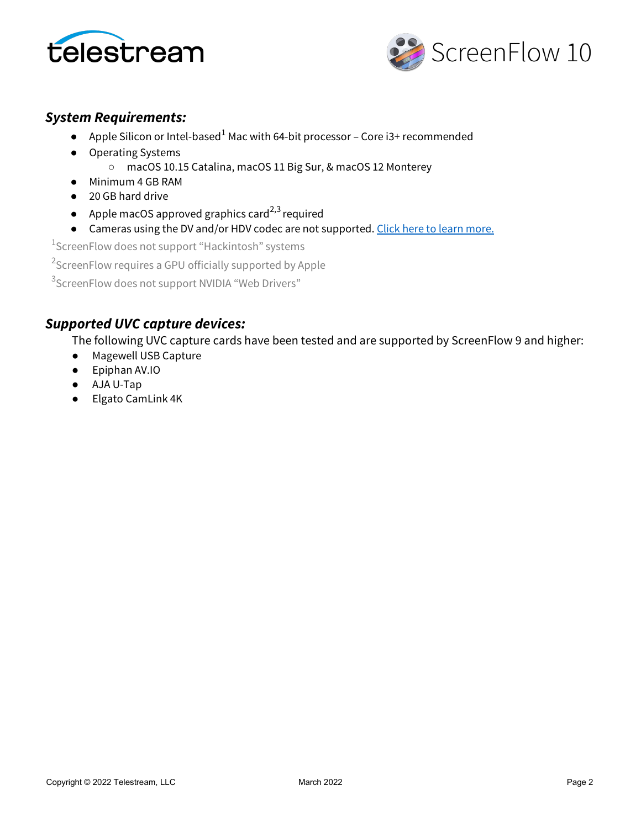



# *System Requirements:*

- Apple Silicon or Intel-based<sup>1</sup> Mac with 64-bit processor Core i3+ recommended
- Operating Systems ○ macOS 10.15 Catalina, macOS 11 Big Sur, & macOS 12 Monterey
- Minimum 4 GB RAM
- 20 GB hard drive
- Apple macOS approved graphics card<sup>2,3</sup> required
- Cameras using the DV and/or HDV codec are not supported. [Click here to learn more.](http://telestream.force.com/kb/articles/Knowledge_Article/ScreenFlow-7-Firewire-DV)

 $^1$ ScreenFlow does not support "Hackintosh" systems

 $^2$ ScreenFlow requires a GPU officially supported by Apple

 $^3$ ScreenFlow does not support NVIDIA "Web Drivers"

# *Supported UVC capture devices:*

The following UVC capture cards have been tested and are supported by ScreenFlow 9 and higher:

- Magewell USB Capture
- Epiphan AV.IO
- AJA U-Tap
- Elgato CamLink 4K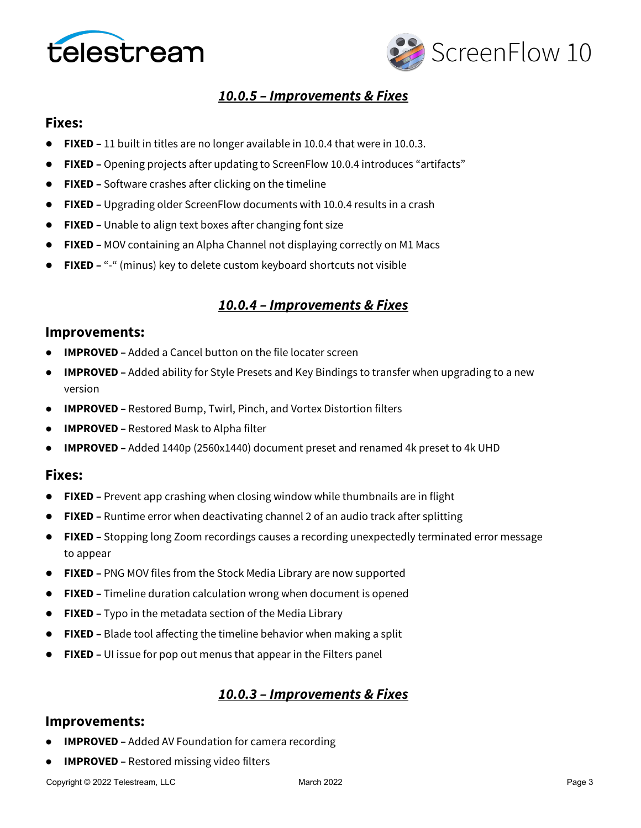



# *10.0.5 – Improvements & Fixes*

### **Fixes:**

- **FIXED** 11 built in titles are no longer available in 10.0.4 that were in 10.0.3.
- **FIXED –** Opening projects after updating to ScreenFlow 10.0.4 introduces "artifacts"
- **FIXED –** Software crashes after clicking on the timeline
- **FIXED –** Upgrading older ScreenFlow documents with 10.0.4 results in a crash
- **FIXED –** Unable to align text boxes after changing font size
- **FIXED –** MOV containing an Alpha Channel not displaying correctly on M1 Macs
- **FIXED** "-" (minus) key to delete custom keyboard shortcuts not visible

# *10.0.4 – Improvements & Fixes*

### **Improvements:**

- **IMPROVED** Added a Cancel button on the file locater screen
- **IMPROVED** Added ability for Style Presets and Key Bindings to transfer when upgrading to a new version
- **IMPROVED –** Restored Bump, Twirl, Pinch, and Vortex Distortion filters
- **IMPROVED –** Restored Mask to Alpha filter
- **IMPROVED –** Added 1440p (2560x1440) document preset and renamed 4k preset to 4k UHD

### **Fixes:**

- **FIXED** Prevent app crashing when closing window while thumbnails are in flight
- **FIXED –** Runtime error when deactivating channel 2 of an audio track after splitting
- **FIXED –** Stopping long Zoom recordings causes a recording unexpectedly terminated error message to appear
- **FIXED –** PNG MOV files from the Stock Media Library are now supported
- **FIXED –** Timeline duration calculation wrong when document is opened
- **FIXED –** Typo in the metadata section of the Media Library
- **FIXED –** Blade tool affecting the timeline behavior when making a split
- **FIXED** UI issue for pop out menus that appear in the Filters panel

## *10.0.3 – Improvements & Fixes*

### **Improvements:**

- **IMPROVED** Added AV Foundation for camera recording
- **IMPROVED** Restored missing video filters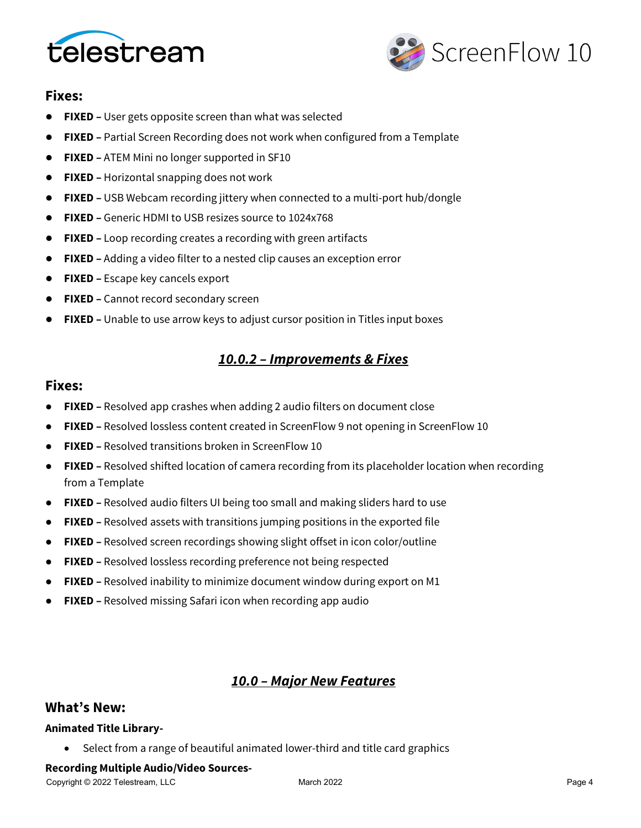



# **Fixes:**

- **FIXED –** User gets opposite screen than what was selected
- **FIXED –** Partial Screen Recording does not work when configured from a Template
- **FIXED –** ATEM Mini no longer supported in SF10
- **FIXED –** Horizontal snapping does not work
- **FIXED –** USB Webcam recording jittery when connected to a multi-port hub/dongle
- **FIXED –** Generic HDMI to USB resizes source to 1024x768
- **FIXED –** Loop recording creates a recording with green artifacts
- **FIXED –** Adding a video filter to a nested clip causes an exception error
- **FIXED** Escape key cancels export
- **FIXED –** Cannot record secondary screen
- **FIXED –** Unable to use arrow keys to adjust cursor position in Titles input boxes

# *10.0.2 – Improvements & Fixes*

## **Fixes:**

- **FIXED –** Resolved app crashes when adding 2 audio filters on document close
- **FIXED –** Resolved lossless content created in ScreenFlow 9 not opening in ScreenFlow 10
- **FIXED –** Resolved transitions broken in ScreenFlow 10
- **FIXED** Resolved shifted location of camera recording from its placeholder location when recording from a Template
- **FIXED –** Resolved audio filters UI being too small and making sliders hard to use
- **FIXED –** Resolved assets with transitions jumping positions in the exported file
- **FIXED –** Resolved screen recordings showing slight offset in icon color/outline
- **FIXED –** Resolved lossless recording preference not being respected
- **FIXED –** Resolved inability to minimize document window during export on M1
- **FIXED –** Resolved missing Safari icon when recording app audio

# *10.0 – Major New Features*

## **What's New:**

### **Animated Title Library-**

• Select from a range of beautiful animated lower-third and title card graphics

### **Recording Multiple Audio/Video Sources-**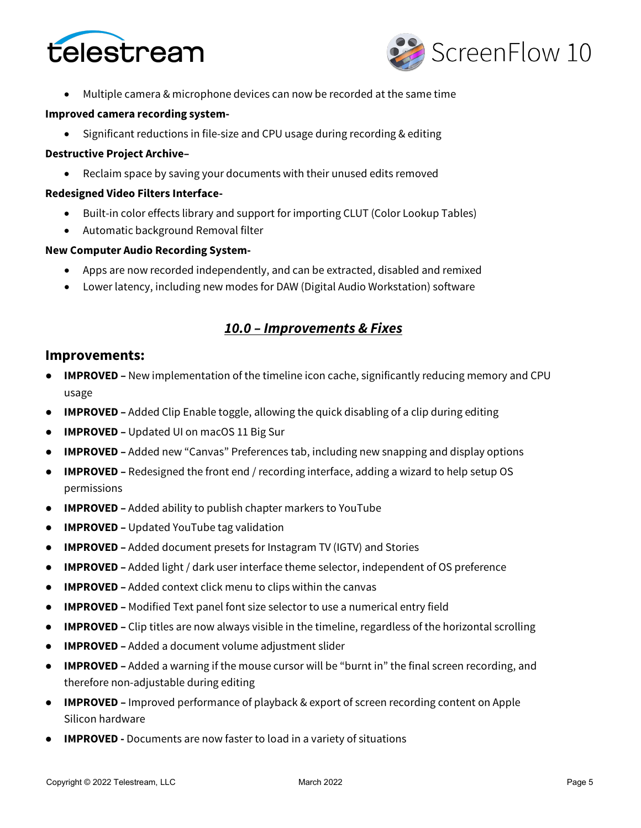



• Multiple camera & microphone devices can now be recorded at the same time

#### **Improved camera recording system-**

• Significant reductions in file-size and CPU usage during recording & editing

#### **Destructive Project Archive–**

• Reclaim space by saving your documents with their unused edits removed

#### **Redesigned Video Filters Interface-**

- Built-in color effects library and support for importing CLUT (Color Lookup Tables)
- Automatic background Removal filter

#### **New Computer Audio Recording System-**

- Apps are now recorded independently, and can be extracted, disabled and remixed
- Lower latency, including new modes for DAW (Digital Audio Workstation) software

## *10.0 – Improvements & Fixes*

### **Improvements:**

- **IMPROVED –** New implementation of the timeline icon cache, significantly reducing memory and CPU usage
- **IMPROVED –** Added Clip Enable toggle, allowing the quick disabling of a clip during editing
- **IMPROVED –** Updated UI on macOS 11 Big Sur
- **IMPROVED –** Added new "Canvas" Preferences tab, including new snapping and display options
- **IMPROVED –** Redesigned the front end / recording interface, adding a wizard to help setup OS permissions
- **IMPROVED –** Added ability to publish chapter markers to YouTube
- **IMPROVED –** Updated YouTube tag validation
- **IMPROVED –** Added document presets for Instagram TV (IGTV) and Stories
- **IMPROVED –** Added light / dark user interface theme selector, independent of OS preference
- **IMPROVED –** Added context click menu to clips within the canvas
- **IMPROVED –** Modified Text panel font size selector to use a numerical entry field
- **IMPROVED –** Clip titles are now always visible in the timeline, regardless of the horizontal scrolling
- **IMPROVED –** Added a document volume adjustment slider
- **IMPROVED –** Added a warning if the mouse cursor will be "burnt in" the final screen recording, and therefore non-adjustable during editing
- **IMPROVED –** Improved performance of playback & export of screen recording content on Apple Silicon hardware
- **IMPROVED** Documents are now faster to load in a variety of situations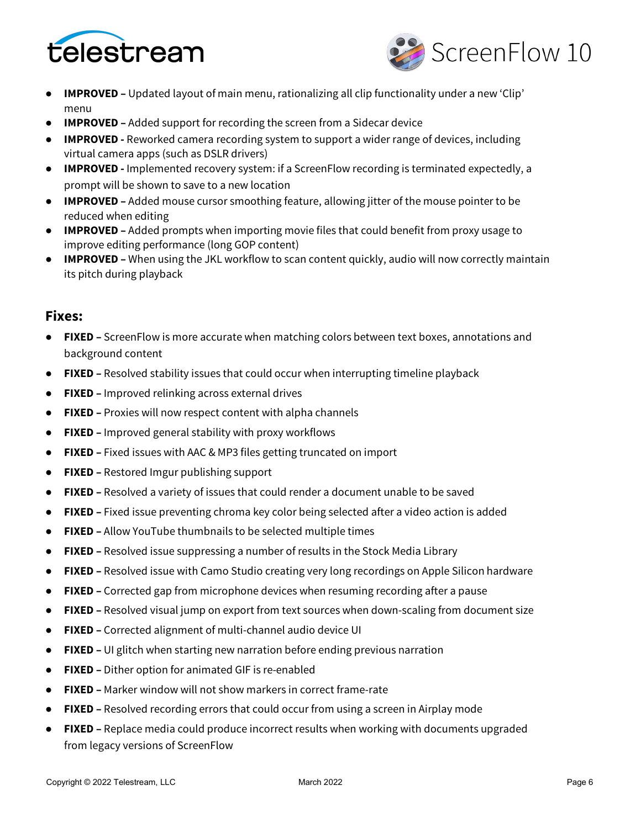



- **IMPROVED –** Updated layout of main menu, rationalizing all clip functionality under a new 'Clip' menu
- **IMPROVED –** Added support for recording the screen from a Sidecar device
- **IMPROVED -** Reworked camera recording system to support a wider range of devices, including virtual camera apps (such as DSLR drivers)
- **IMPROVED -** Implemented recovery system: if a ScreenFlow recording is terminated expectedly, a prompt will be shown to save to a new location
- **IMPROVED –** Added mouse cursor smoothing feature, allowing jitter of the mouse pointer to be reduced when editing
- **IMPROVED –** Added prompts when importing movie files that could benefit from proxy usage to improve editing performance (long GOP content)
- **IMPROVED –** When using the JKL workflow to scan content quickly, audio will now correctly maintain its pitch during playback

## **Fixes:**

- **FIXED –** ScreenFlow is more accurate when matching colors between text boxes, annotations and background content
- **FIXED –** Resolved stability issues that could occur when interrupting timeline playback
- **FIXED –** Improved relinking across external drives
- **FIXED –** Proxies will now respect content with alpha channels
- **FIXED –** Improved general stability with proxy workflows
- **FIXED –** Fixed issues with AAC & MP3 files getting truncated on import
- **FIXED –** Restored Imgur publishing support
- **FIXED –** Resolved a variety of issues that could render a document unable to be saved
- **FIXED –** Fixed issue preventing chroma key color being selected after a video action is added
- **FIXED –** Allow YouTube thumbnails to be selected multiple times
- **FIXED –** Resolved issue suppressing a number of results in the Stock Media Library
- **FIXED –** Resolved issue with Camo Studio creating very long recordings on Apple Silicon hardware
- **FIXED –** Corrected gap from microphone devices when resuming recording after a pause
- **FIXED –** Resolved visual jump on export from text sources when down-scaling from document size
- **FIXED –** Corrected alignment of multi-channel audio device UI
- **FIXED –** UI glitch when starting new narration before ending previous narration
- **FIXED –** Dither option for animated GIF is re-enabled
- **FIXED –** Marker window will not show markers in correct frame-rate
- **FIXED –** Resolved recording errors that could occur from using a screen in Airplay mode
- **FIXED –** Replace media could produce incorrect results when working with documents upgraded from legacy versions of ScreenFlow